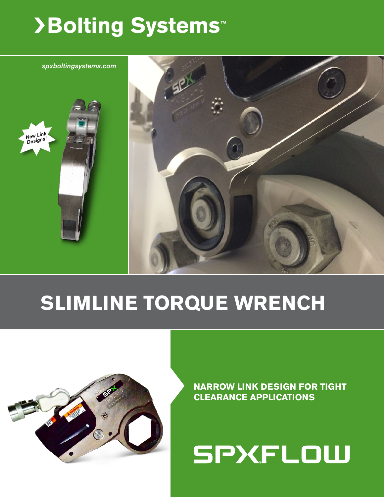# >Bolting Systems<sup>™</sup>



# **SLIMLINE TORQUE WRENCH**



**NARROW LINK DESIGN FOR TIGHT CLEARANCE APPLICATIONS**

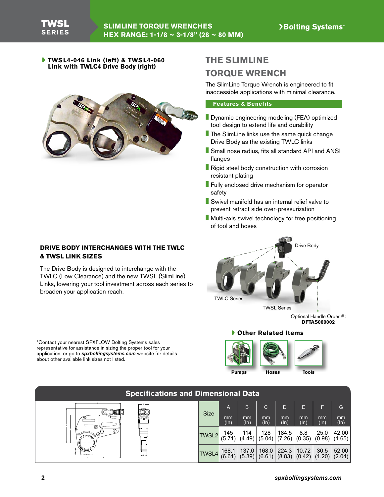**TWSL4-046 Link (left) & TWSL4-060 Link with TWLC4 Drive Body (right)**



# **THE SLIMLINE TORQUE WRENCH**

The SlimLine Torque Wrench is engineered to fit inaccessible applications with minimal clearance.

#### **Features & Benefits**

- **Dynamic engineering modeling (FEA) optimized** tool design to extend life and durability
- The SlimLine links use the same quick change Drive Body as the existing TWLC links
- Small nose radius, fits all standard API and ANSI flanges
- Rigid steel body construction with corrosion resistant plating
- **Fully enclosed drive mechanism for operator** safety
- Swivel manifold has an internal relief valve to prevent retract side over-pressurization
- Multi-axis swivel technology for free positioning of tool and hoses



Optional Handle Order #: **DFTAS000002**

#### **Other Related Items**





| <b>Specifications and Dimensional Data</b> |              |                            |                 |                            |                                                                                                                      |                 |                    |                 |  |  |  |
|--------------------------------------------|--------------|----------------------------|-----------------|----------------------------|----------------------------------------------------------------------------------------------------------------------|-----------------|--------------------|-----------------|--|--|--|
| ∞₩₩                                        | <b>Size</b>  | $\mathsf{A}$<br>mm<br>(In) | B<br>mm<br>(ln) | $\bullet$<br>mm<br>$(\ln)$ | $\mathsf{D}$<br>mm<br>(In)                                                                                           | E<br>mm<br>(ln) | F<br>mm<br>$(\ln)$ | G<br>mm<br>(ln) |  |  |  |
| 43<br>⊚<br>$\sim$ $\circ$                  | TWSL2        | 145<br>(5.71)              | 114<br>(4.49)   | 128<br>(5.04)              | 184.5<br>(7.26)                                                                                                      | 8.8<br>(0.35)   | 25.0<br>(0.98)     | 42.00<br>(1.65) |  |  |  |
| HEX RANGE -                                | <b>TWSL4</b> | 168.1<br>(6.61)            | 137.0<br>(5.39) |                            | $\begin{array}{ c c c c c }\n\hline\n168.0 & 224.3 & 10.72 & 30.5 \\ (6.61) & (8.83) & (0.42) & (1.20)\n\end{array}$ |                 |                    | 52.00   (2.04)  |  |  |  |

### **DRIVE BODY INTERCHANGES WITH THE TWLC & TWSL LINK SIZES**

The Drive Body is designed to interchange with the TWLC (Low Clearance) and the new TWSL (SlimLine) Links, lowering your tool investment across each series to broaden your application reach.

\*Contact your nearest SPXFLOW Bolting Systems sales representative for assistance in sizing the proper tool for your application, or go to *spxboltingsystems.com* website for details about other available link sizes not listed.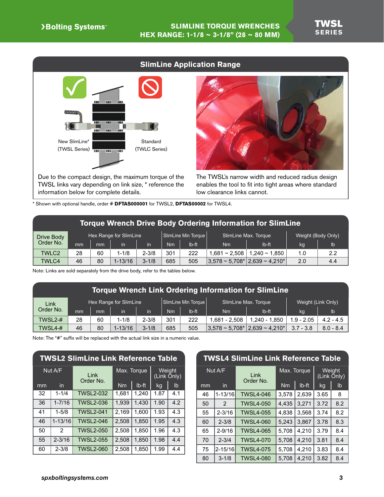# **SlimLine Application Range** New SlimLine\* Standard (TWSL Series) (TWLC Series) TELE **TOTA** -101

Due to the compact design, the maximum torque of the TWSL links vary depending on link size, \* reference the information below for complete details.



The TWSL's narrow width and reduced radius design enables the tool to fit into tight areas where standard low clearance links cannot.

\* Shown with optional handle, order # **DFTAS000001** for TWSL2, **DFTAS00002** for TWSL4.

| Torque Wrench Drive Body Ordering Information for SlimLine |  |
|------------------------------------------------------------|--|
|------------------------------------------------------------|--|

| Drive Body   |    |    | Hex Range for SlimLine |           |     | SlimLine Min Torque |                | SlimLine Max. Torque                      | Weight (Body Only) |     |  |
|--------------|----|----|------------------------|-----------|-----|---------------------|----------------|-------------------------------------------|--------------------|-----|--|
| Order No.    | mm | mm | in                     | in        | Nm  | lb-ft               | Nm             | Ib-ft                                     | kg                 | lb  |  |
| <b>TWLC2</b> | 28 | 60 | $1 - 1/8$              | $2 - 3/8$ | 301 | 222                 | $.681 - 2.508$ | $1.240 - 1.850$                           | 1.0                | 2.2 |  |
| <b>TWLC4</b> | 46 | 80 | $1 - 13/16$            | $3 - 1/8$ | 685 | 505                 |                | $ 3.578 \sim 5.708^* 2.639 \sim 4.210^* $ | 2.0                | 4.4 |  |

Note: Links are sold separately from the drive body, refer to the tables below.

## **Torque Wrench Link Ordering Information for SlimLine**

| Link      |    |    | Hex Range for SlimLine |           |     | SlimLine Min Torque |                                 | SlimLine Max. Torque | Weight (Link Only) |             |  |
|-----------|----|----|------------------------|-----------|-----|---------------------|---------------------------------|----------------------|--------------------|-------------|--|
| Order No. | mm | mm | in                     | in        | Nm  | lb-ft               | Nm                              | Ib-ft                | kg                 | lb          |  |
| TWSL2-#   | 28 | 60 | 1-1/8                  | $2 - 3/8$ | 301 | 222                 | 1.681 - 2.508                   | 1.240 - 1.850        | $1.9 - 2.05$       | $4.2 - 4.5$ |  |
| TWSL4-#   | 46 | 80 | $1 - 13/16$            | $3 - 1/8$ | 685 | 505                 | $3.578 \sim 5.708$ <sup>*</sup> | $ 2,639 - 4,210^* $  | $3.7 - 3.8$        | $8.0 - 8.4$ |  |

Note: The "#" suffix will be replaced with the actual link size in a numeric value.

| <b>TWSL2 SlimLine Link Reference Table</b> |                |                   |           |             |                       |     |  |  |  |
|--------------------------------------------|----------------|-------------------|-----------|-------------|-----------------------|-----|--|--|--|
| Nut A/F                                    |                | Link<br>Order No. |           | Max. Torque | Weight<br>(Link Only) |     |  |  |  |
| mm                                         | in             |                   | <b>Nm</b> | $Ib-ft$     | kg                    | lb  |  |  |  |
| 32                                         | $1 - 1/4$      | <b>TWSL2-032</b>  | 1,681     | 1,240       | 1.87                  | 4.1 |  |  |  |
| 36                                         | $1 - 7/16$     | <b>TWSL2-036</b>  | 1,939     | 1.430       | 1.90                  | 4.2 |  |  |  |
| 41                                         | $1 - 5/8$      | <b>TWSL2-041</b>  | 2,169     | 1.600       | 1.93                  | 4.3 |  |  |  |
| 46                                         | $1 - 13/16$    | <b>TWSL2-046</b>  | 2,508     | 1,850       | 1.95                  | 4.3 |  |  |  |
| 50                                         | $\overline{2}$ | <b>TWSL2-050</b>  | 2,508     | 1.850       | 1.96                  | 4.3 |  |  |  |
| 55                                         | $2 - 3/16$     | <b>TWSL2-055</b>  | 2,508     | 1,850       | 1.98                  | 4.4 |  |  |  |
| 60                                         | $2 - 3/8$      | <b>TWSL2-060</b>  | 2,508     | 1,850       | 1.99                  | 4.4 |  |  |  |

### **TWSL4 SlimLine Link Reference Table**

| Nut A/F |             | Link<br>Order No. |           | Max. Torque | Weight<br>(Link Only) |                |
|---------|-------------|-------------------|-----------|-------------|-----------------------|----------------|
| mm      | in          |                   | <b>Nm</b> | Ib-ft       | kg                    | I <sub>b</sub> |
| 46      | 1-13/16     | <b>TWSL4-046</b>  | 3,578     | 2,639       | 3.65                  | 8              |
| 50      | 2           | <b>TWSL4-050</b>  | 4,435     | 3,271       | 3.72                  | 8.2            |
| 55      | $2 - 3/16$  | <b>TWSL4-055</b>  | 4,838     | 3,568       | 3.74                  | 8.2            |
| 60      | $2 - 3/8$   | <b>TWSL4-060</b>  | 5,243     | 3,867       | 3.78                  | 8.3            |
| 65      | $2 - 9/16$  | <b>TWSL4-065</b>  | 5,708     | 4,210       | 3.79                  | 8.4            |
| 70      | $2 - 3/4$   | <b>TWSL4-070</b>  | 5,708     | 4,210       | 3.81                  | 8.4            |
| 75      | $2 - 15/16$ | <b>TWSL4-075</b>  | 5,708     | 4,210       | 3.83                  | 8.4            |
| 80      | $3 - 1/8$   | <b>TWSL4-080</b>  | 5.708     | 4.210       | 3.82                  | 8.4            |